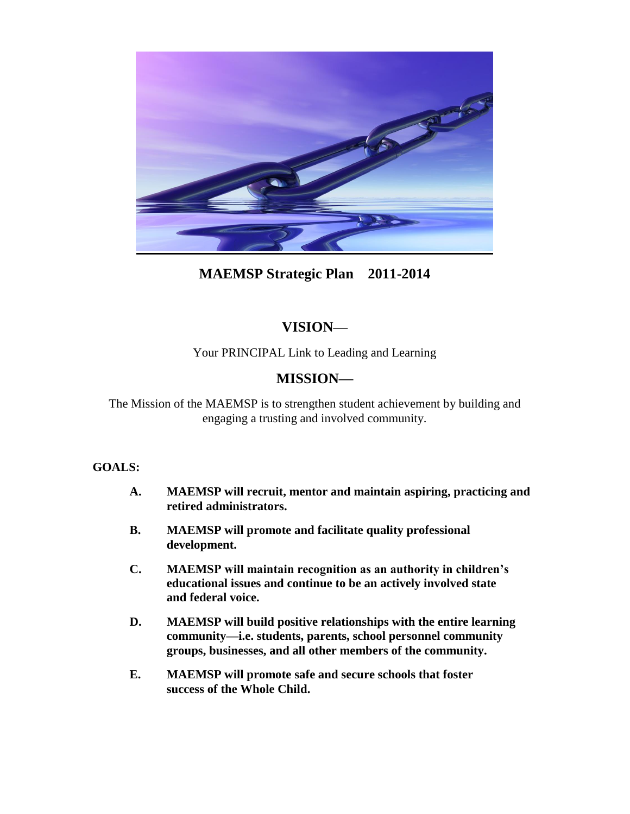

## **MAEMSP Strategic Plan 2011-2014**

# **VISION—**

Your PRINCIPAL Link to Leading and Learning

# **MISSION—**

The Mission of the MAEMSP is to strengthen student achievement by building and engaging a trusting and involved community.

## **GOALS:**

- **A. MAEMSP will recruit, mentor and maintain aspiring, practicing and retired administrators.**
- **B. MAEMSP will promote and facilitate quality professional development.**
- **C. MAEMSP will maintain recognition as an authority in children's educational issues and continue to be an actively involved state and federal voice.**
- **D. MAEMSP will build positive relationships with the entire learning community—i.e. students, parents, school personnel community groups, businesses, and all other members of the community.**
- **E. MAEMSP will promote safe and secure schools that foster success of the Whole Child.**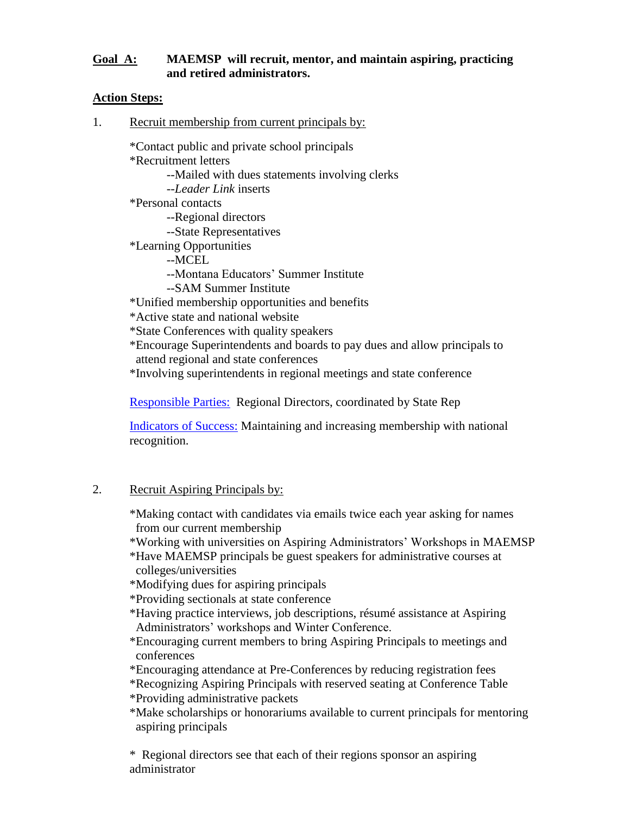#### **Goal A: MAEMSP will recruit, mentor, and maintain aspiring, practicing and retired administrators.**

#### **Action Steps:**

1. Recruit membership from current principals by:

\*Contact public and private school principals

\*Recruitment letters

--Mailed with dues statements involving clerks

--*Leader Link* inserts

\*Personal contacts

--Regional directors

--State Representatives

\*Learning Opportunities

--MCEL

--Montana Educators' Summer Institute

--SAM Summer Institute

\*Unified membership opportunities and benefits

\*Active state and national website

\*State Conferences with quality speakers

\*Encourage Superintendents and boards to pay dues and allow principals to attend regional and state conferences

\*Involving superintendents in regional meetings and state conference

Responsible Parties:Regional Directors, coordinated by State Rep

Indicators of Success: Maintaining and increasing membership with national recognition.

## 2. Recruit Aspiring Principals by:

\*Making contact with candidates via emails twice each year asking for names from our current membership

\*Working with universities on Aspiring Administrators' Workshops in MAEMSP

\*Have MAEMSP principals be guest speakers for administrative courses at colleges/universities

\*Modifying dues for aspiring principals

\*Providing sectionals at state conference

\*Having practice interviews, job descriptions, résumé assistance at Aspiring Administrators' workshops and Winter Conference.

- \*Encouraging current members to bring Aspiring Principals to meetings and conferences
- \*Encouraging attendance at Pre-Conferences by reducing registration fees

\*Recognizing Aspiring Principals with reserved seating at Conference Table

\*Providing administrative packets

\*Make scholarships or honorariums available to current principals for mentoring aspiring principals

\* Regional directors see that each of their regions sponsor an aspiring administrator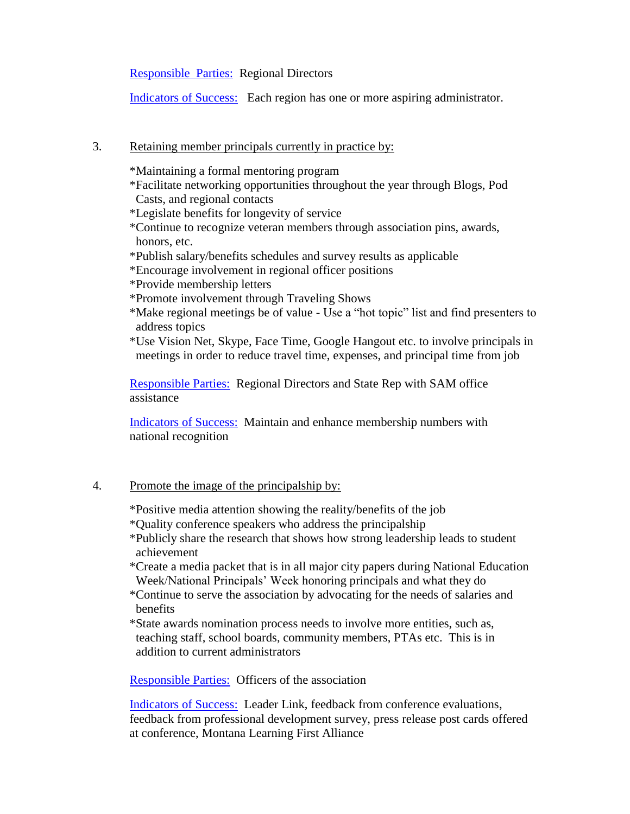Responsible Parties: Regional Directors

Indicators of Success: Each region has one or more aspiring administrator.

#### 3. Retaining member principals currently in practice by:

\*Maintaining a formal mentoring program \*Facilitate networking opportunities throughout the year through Blogs, Pod Casts, and regional contacts \*Legislate benefits for longevity of service \*Continue to recognize veteran members through association pins, awards, honors, etc. \*Publish salary/benefits schedules and survey results as applicable \*Encourage involvement in regional officer positions \*Provide membership letters \*Promote involvement through Traveling Shows

\*Make regional meetings be of value - Use a "hot topic" list and find presenters to address topics

\*Use Vision Net, Skype, Face Time, Google Hangout etc. to involve principals in meetings in order to reduce travel time, expenses, and principal time from job

Responsible Parties: Regional Directors and State Rep with SAM office assistance

Indicators of Success: Maintain and enhance membership numbers with national recognition

## 4. Promote the image of the principalship by:

\*Positive media attention showing the reality/benefits of the job

\*Quality conference speakers who address the principalship

- \*Publicly share the research that shows how strong leadership leads to student achievement
- \*Create a media packet that is in all major city papers during National Education Week/National Principals' Week honoring principals and what they do
- \*Continue to serve the association by advocating for the needs of salaries and benefits
- \*State awards nomination process needs to involve more entities, such as, teaching staff, school boards, community members, PTAs etc. This is in addition to current administrators

Responsible Parties: Officers of the association

Indicators of Success: Leader Link, feedback from conference evaluations, feedback from professional development survey, press release post cards offered at conference, Montana Learning First Alliance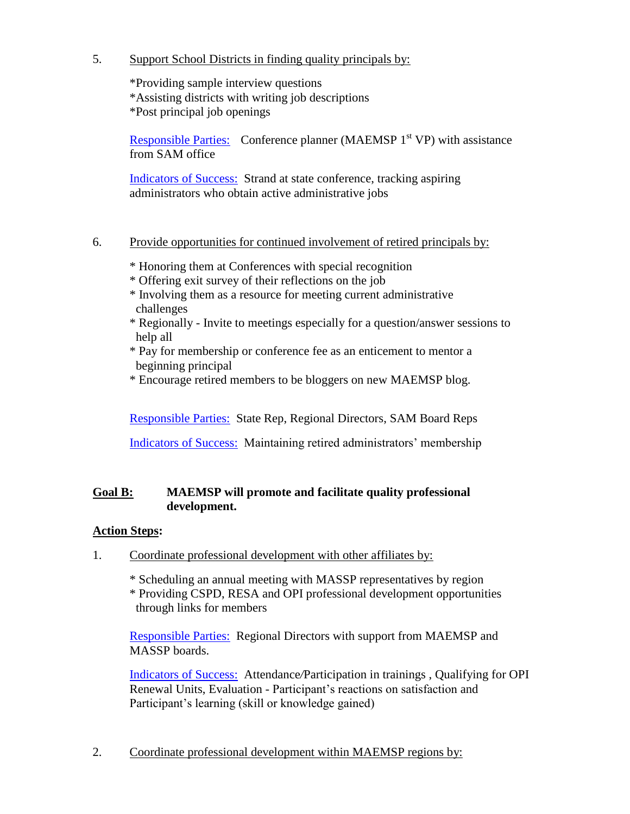5. Support School Districts in finding quality principals by:

\*Providing sample interview questions \*Assisting districts with writing job descriptions \*Post principal job openings

Responsible Parties: Conference planner (MAEMSP  $1<sup>st</sup> VP$ ) with assistance from SAM office

Indicators of Success: Strand at state conference, tracking aspiring administrators who obtain active administrative jobs

- 6. Provide opportunities for continued involvement of retired principals by:
	- \* Honoring them at Conferences with special recognition
	- \* Offering exit survey of their reflections on the job
	- \* Involving them as a resource for meeting current administrative challenges
	- \* Regionally Invite to meetings especially for a question/answer sessions to help all
	- \* Pay for membership or conference fee as an enticement to mentor a beginning principal
	- \* Encourage retired members to be bloggers on new MAEMSP blog.

Responsible Parties: State Rep, Regional Directors, SAM Board Reps

Indicators of Success: Maintaining retired administrators' membership

## **Goal B: MAEMSP will promote and facilitate quality professional development.**

## **Action Steps:**

1. Coordinate professional development with other affiliates by:

\* Scheduling an annual meeting with MASSP representatives by region \* Providing CSPD, RESA and OPI professional development opportunities through links for members

Responsible Parties: Regional Directors with support from MAEMSP and MASSP boards.

Indicators of Success: Attendance*/*Participation in trainings , Qualifying for OPI Renewal Units, Evaluation - Participant's reactions on satisfaction and Participant's learning (skill or knowledge gained)

2. Coordinate professional development within MAEMSP regions by: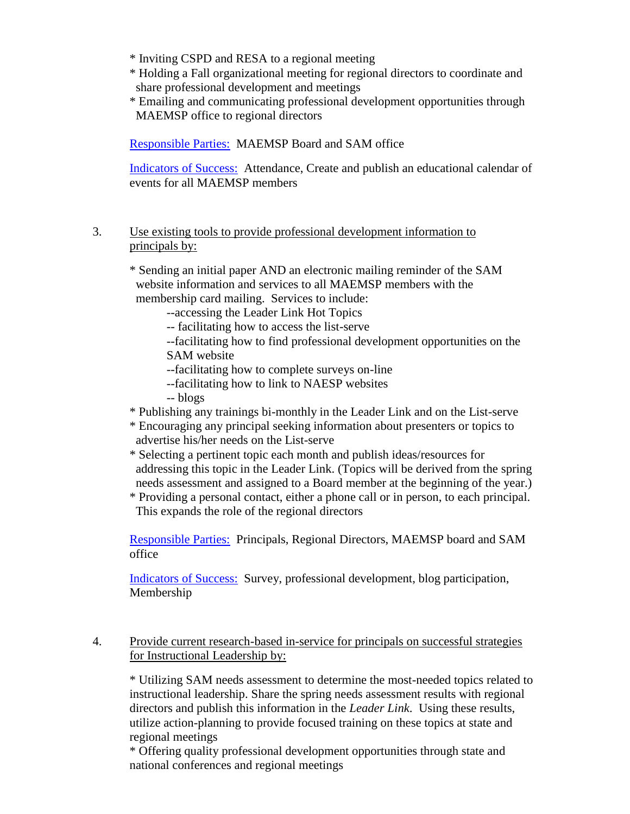\* Inviting CSPD and RESA to a regional meeting

- \* Holding a Fall organizational meeting for regional directors to coordinate and share professional development and meetings
- \* Emailing and communicating professional development opportunities through MAEMSP office to regional directors

Responsible Parties: MAEMSP Board and SAM office

Indicators of Success: Attendance, Create and publish an educational calendar of events for all MAEMSP members

3. Use existing tools to provide professional development information to principals by:

\* Sending an initial paper AND an electronic mailing reminder of the SAM website information and services to all MAEMSP members with the membership card mailing. Services to include:

--accessing the Leader Link Hot Topics

-- facilitating how to access the list-serve

--facilitating how to find professional development opportunities on the SAM website

- --facilitating how to complete surveys on-line
- --facilitating how to link to NAESP websites
- -- blogs
- \* Publishing any trainings bi-monthly in the Leader Link and on the List-serve
- \* Encouraging any principal seeking information about presenters or topics to advertise his/her needs on the List-serve
- \* Selecting a pertinent topic each month and publish ideas/resources for addressing this topic in the Leader Link. (Topics will be derived from the spring needs assessment and assigned to a Board member at the beginning of the year.)
- \* Providing a personal contact, either a phone call or in person, to each principal. This expands the role of the regional directors

Responsible Parties: Principals, Regional Directors, MAEMSP board and SAM office

Indicators of Success: Survey, professional development, blog participation, Membership

#### 4. Provide current research-based in-service for principals on successful strategies for Instructional Leadership by:

\* Utilizing SAM needs assessment to determine the most-needed topics related to instructional leadership. Share the spring needs assessment results with regional directors and publish this information in the *Leader Link*. Using these results, utilize action-planning to provide focused training on these topics at state and regional meetings

\* Offering quality professional development opportunities through state and national conferences and regional meetings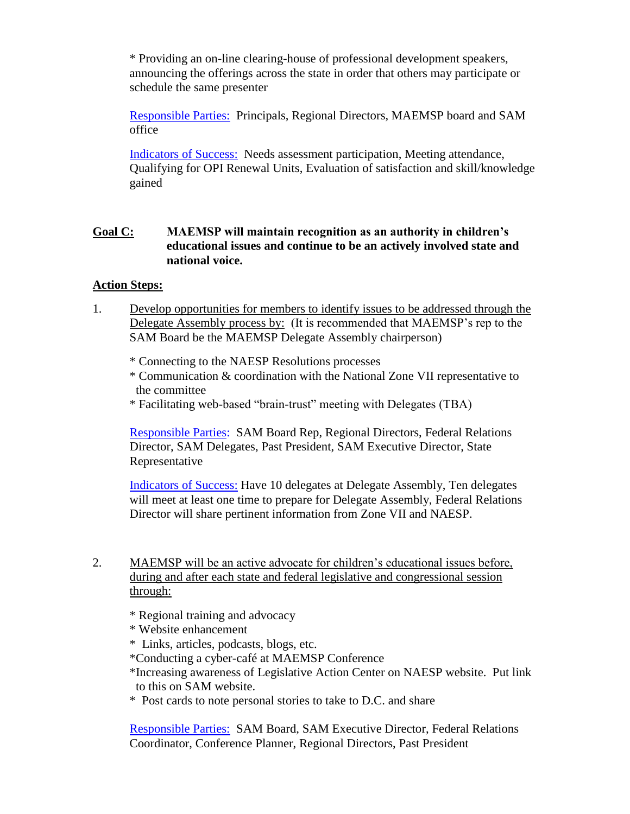\* Providing an on-line clearing-house of professional development speakers, announcing the offerings across the state in order that others may participate or schedule the same presenter

Responsible Parties: Principals, Regional Directors, MAEMSP board and SAM office

Indicators of Success: Needs assessment participation, Meeting attendance, Qualifying for OPI Renewal Units, Evaluation of satisfaction and skill/knowledge gained

## **Goal C: MAEMSP will maintain recognition as an authority in children's educational issues and continue to be an actively involved state and national voice.**

#### **Action Steps:**

- 1. Develop opportunities for members to identify issues to be addressed through the Delegate Assembly process by: (It is recommended that MAEMSP's rep to the SAM Board be the MAEMSP Delegate Assembly chairperson)
	- \* Connecting to the NAESP Resolutions processes
	- \* Communication & coordination with the National Zone VII representative to the committee
	- \* Facilitating web-based "brain-trust" meeting with Delegates (TBA)

Responsible Parties: SAM Board Rep, Regional Directors, Federal Relations Director, SAM Delegates, Past President, SAM Executive Director, State Representative

Indicators of Success: Have 10 delegates at Delegate Assembly, Ten delegates will meet at least one time to prepare for Delegate Assembly, Federal Relations Director will share pertinent information from Zone VII and NAESP.

- 2. MAEMSP will be an active advocate for children's educational issues before, during and after each state and federal legislative and congressional session through:
	- \* Regional training and advocacy
	- \* Website enhancement
	- \* Links, articles, podcasts, blogs, etc.
	- \*Conducting a cyber-café at MAEMSP Conference
	- \*Increasing awareness of Legislative Action Center on NAESP website. Put link to this on SAM website.
	- \* Post cards to note personal stories to take to D.C. and share

Responsible Parties: SAM Board, SAM Executive Director, Federal Relations Coordinator, Conference Planner, Regional Directors, Past President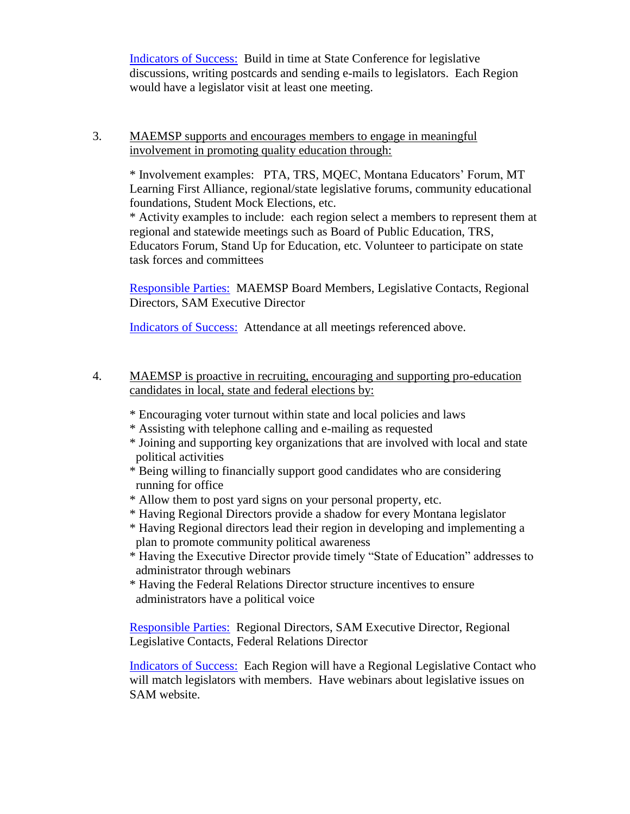Indicators of Success: Build in time at State Conference for legislative discussions, writing postcards and sending e-mails to legislators. Each Region would have a legislator visit at least one meeting.

#### 3. MAEMSP supports and encourages members to engage in meaningful involvement in promoting quality education through:

\* Involvement examples: PTA, TRS, MQEC, Montana Educators' Forum, MT Learning First Alliance, regional/state legislative forums, community educational foundations, Student Mock Elections, etc.

\* Activity examples to include: each region select a members to represent them at regional and statewide meetings such as Board of Public Education, TRS, Educators Forum, Stand Up for Education, etc. Volunteer to participate on state task forces and committees

Responsible Parties: MAEMSP Board Members, Legislative Contacts, Regional Directors, SAM Executive Director

Indicators of Success: Attendance at all meetings referenced above.

- 4. MAEMSP is proactive in recruiting, encouraging and supporting pro-education candidates in local, state and federal elections by:
	- \* Encouraging voter turnout within state and local policies and laws
	- \* Assisting with telephone calling and e-mailing as requested
	- \* Joining and supporting key organizations that are involved with local and state political activities
	- \* Being willing to financially support good candidates who are considering running for office
	- \* Allow them to post yard signs on your personal property, etc.
	- \* Having Regional Directors provide a shadow for every Montana legislator
	- \* Having Regional directors lead their region in developing and implementing a plan to promote community political awareness
	- \* Having the Executive Director provide timely "State of Education" addresses to administrator through webinars
	- \* Having the Federal Relations Director structure incentives to ensure administrators have a political voice

Responsible Parties: Regional Directors, SAM Executive Director, Regional Legislative Contacts, Federal Relations Director

Indicators of Success: Each Region will have a Regional Legislative Contact who will match legislators with members. Have webinars about legislative issues on SAM website.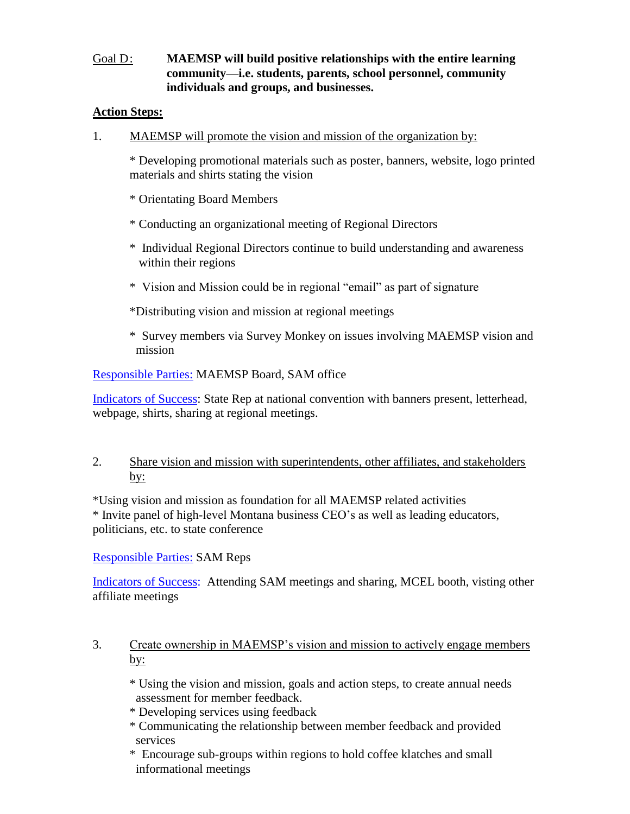## Goal D: **MAEMSP will build positive relationships with the entire learning community—i.e. students, parents, school personnel, community individuals and groups, and businesses.**

#### **Action Steps:**

1. MAEMSP will promote the vision and mission of the organization by:

\* Developing promotional materials such as poster, banners, website, logo printed materials and shirts stating the vision

\* Orientating Board Members

- \* Conducting an organizational meeting of Regional Directors
- \* Individual Regional Directors continue to build understanding and awareness within their regions
- \* Vision and Mission could be in regional "email" as part of signature

\*Distributing vision and mission at regional meetings

\* Survey members via Survey Monkey on issues involving MAEMSP vision and mission

#### Responsible Parties: MAEMSP Board, SAM office

Indicators of Success: State Rep at national convention with banners present, letterhead, webpage, shirts, sharing at regional meetings.

## 2. Share vision and mission with superintendents, other affiliates, and stakeholders by:

\*Using vision and mission as foundation for all MAEMSP related activities \* Invite panel of high-level Montana business CEO's as well as leading educators, politicians, etc. to state conference

Responsible Parties: SAM Reps

Indicators of Success: Attending SAM meetings and sharing, MCEL booth, visting other affiliate meetings

## 3. Create ownership in MAEMSP's vision and mission to actively engage members by:

\* Using the vision and mission, goals and action steps, to create annual needs assessment for member feedback.

- \* Developing services using feedback
- \* Communicating the relationship between member feedback and provided services
- \* Encourage sub-groups within regions to hold coffee klatches and small informational meetings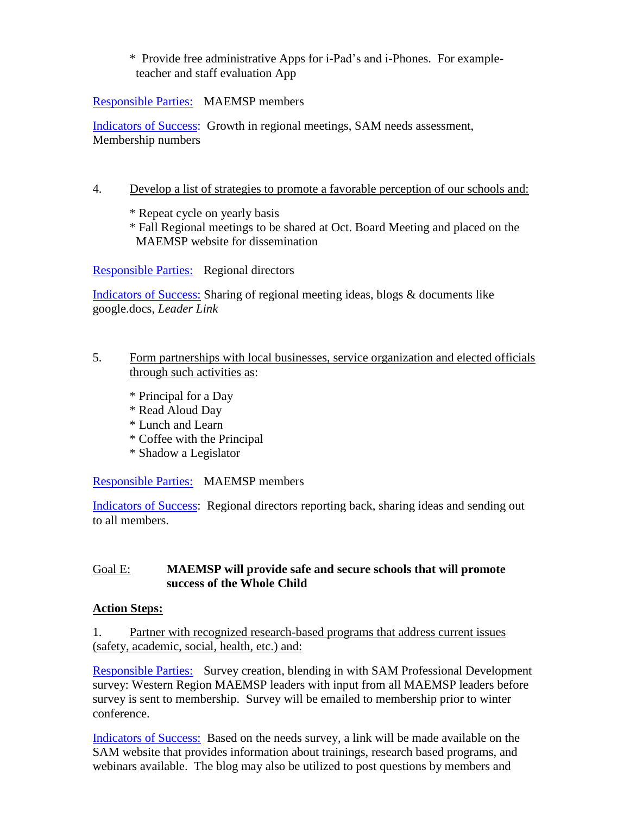#### \* Provide free administrative Apps for i-Pad's and i-Phones. For example teacher and staff evaluation App

Responsible Parties: MAEMSP members

Indicators of Success: Growth in regional meetings, SAM needs assessment, Membership numbers

#### 4. Develop a list of strategies to promote a favorable perception of our schools and:

\* Repeat cycle on yearly basis

\* Fall Regional meetings to be shared at Oct. Board Meeting and placed on the MAEMSP website for dissemination

Responsible Parties: Regional directors

Indicators of Success: Sharing of regional meeting ideas, blogs & documents like google.docs, *Leader Link*

#### 5. Form partnerships with local businesses, service organization and elected officials through such activities as:

- \* Principal for a Day
- \* Read Aloud Day
- \* Lunch and Learn
- \* Coffee with the Principal
- \* Shadow a Legislator

Responsible Parties: MAEMSP members

Indicators of Success: Regional directors reporting back, sharing ideas and sending out to all members.

## Goal E: **MAEMSP will provide safe and secure schools that will promote success of the Whole Child**

#### **Action Steps:**

#### 1. Partner with recognized research-based programs that address current issues (safety, academic, social, health, etc.) and:

Responsible Parties: Survey creation, blending in with SAM Professional Development survey: Western Region MAEMSP leaders with input from all MAEMSP leaders before survey is sent to membership. Survey will be emailed to membership prior to winter conference.

Indicators of Success: Based on the needs survey, a link will be made available on the SAM website that provides information about trainings, research based programs, and webinars available. The blog may also be utilized to post questions by members and